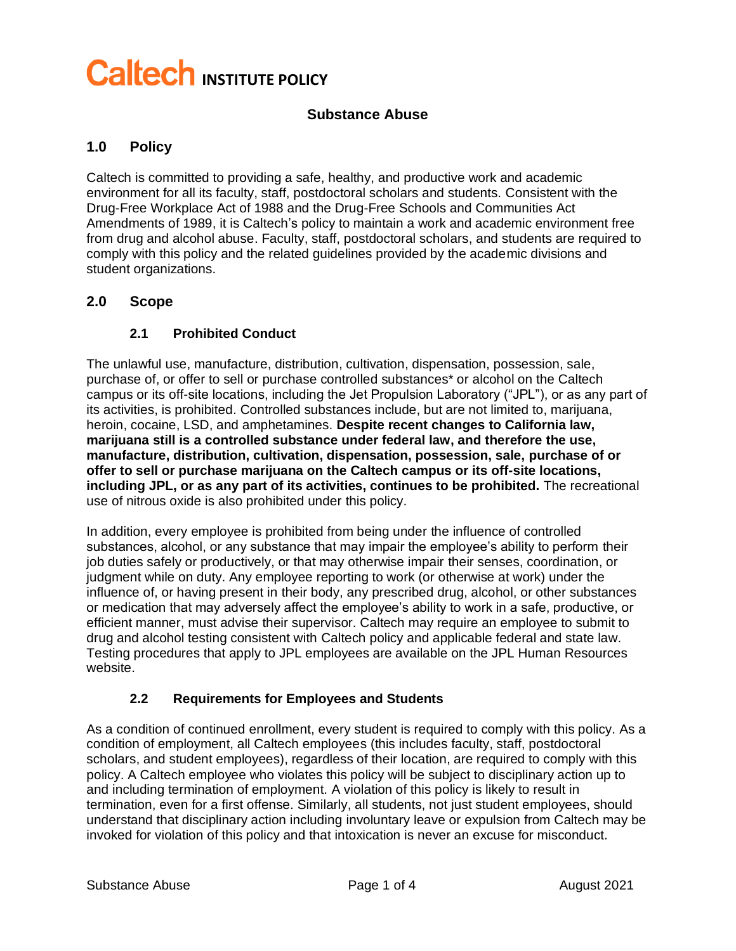# **Caltech INSTITUTE POLICY**

#### **Substance Abuse**

#### **1.0 Policy**

Caltech is committed to providing a safe, healthy, and productive work and academic environment for all its faculty, staff, postdoctoral scholars and students. Consistent with the Drug-Free Workplace Act of 1988 and the Drug-Free Schools and Communities Act Amendments of 1989, it is Caltech's policy to maintain a work and academic environment free from drug and alcohol abuse. Faculty, staff, postdoctoral scholars, and students are required to comply with this policy and the related guidelines provided by the academic divisions and student organizations.

#### **2.0 Scope**

#### **2.1 Prohibited Conduct**

The unlawful use, manufacture, distribution, cultivation, dispensation, possession, sale, purchase of, or offer to sell or purchase controlled substances\* or alcohol on the Caltech campus or its off-site locations, including the Jet Propulsion Laboratory ("JPL"), or as any part of its activities, is prohibited. Controlled substances include, but are not limited to, marijuana, heroin, cocaine, LSD, and amphetamines. **Despite recent changes to California law, marijuana still is a controlled substance under federal law, and therefore the use, manufacture, distribution, cultivation, dispensation, possession, sale, purchase of or offer to sell or purchase marijuana on the Caltech campus or its off-site locations, including JPL, or as any part of its activities, continues to be prohibited.** The recreational use of nitrous oxide is also prohibited under this policy.

In addition, every employee is prohibited from being under the influence of controlled substances, alcohol, or any substance that may impair the employee's ability to perform their job duties safely or productively, or that may otherwise impair their senses, coordination, or judgment while on duty. Any employee reporting to work (or otherwise at work) under the influence of, or having present in their body, any prescribed drug, alcohol, or other substances or medication that may adversely affect the employee's ability to work in a safe, productive, or efficient manner, must advise their supervisor. Caltech may require an employee to submit to drug and alcohol testing consistent with Caltech policy and applicable federal and state law. Testing procedures that apply to JPL employees are available on the JPL Human Resources website.

#### **2.2 Requirements for Employees and Students**

As a condition of continued enrollment, every student is required to comply with this policy. As a condition of employment, all Caltech employees (this includes faculty, staff, postdoctoral scholars, and student employees), regardless of their location, are required to comply with this policy. A Caltech employee who violates this policy will be subject to disciplinary action up to and including termination of employment. A violation of this policy is likely to result in termination, even for a first offense. Similarly, all students, not just student employees, should understand that disciplinary action including involuntary leave or expulsion from Caltech may be invoked for violation of this policy and that intoxication is never an excuse for misconduct.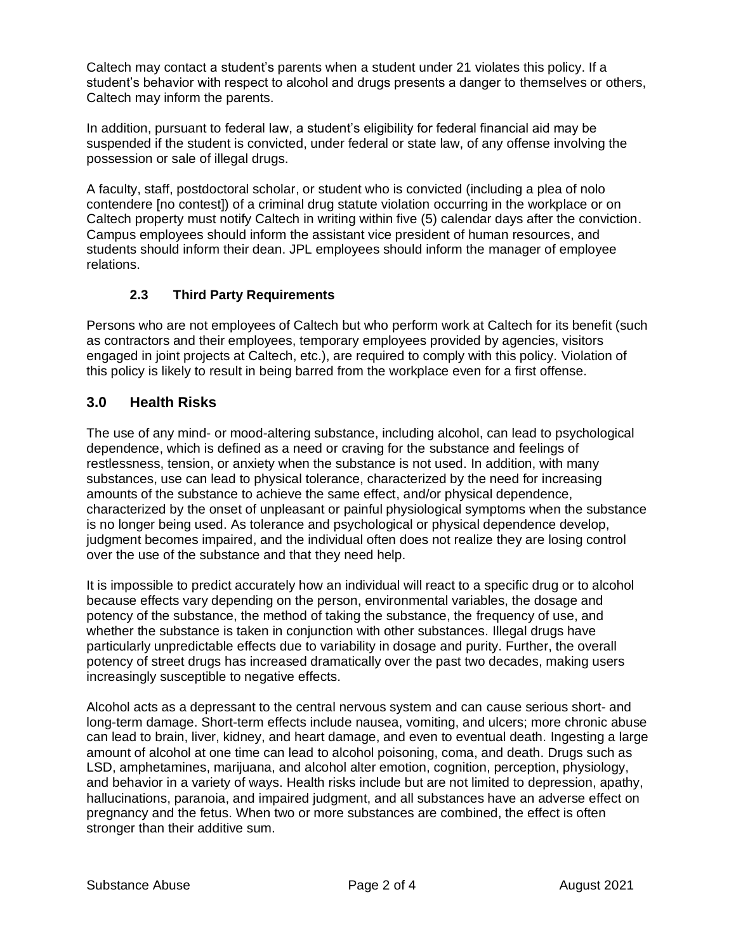Caltech may contact a student's parents when a student under 21 violates this policy. If a student's behavior with respect to alcohol and drugs presents a danger to themselves or others, Caltech may inform the parents.

In addition, pursuant to federal law, a student's eligibility for federal financial aid may be suspended if the student is convicted, under federal or state law, of any offense involving the possession or sale of illegal drugs.

A faculty, staff, postdoctoral scholar, or student who is convicted (including a plea of nolo contendere [no contest]) of a criminal drug statute violation occurring in the workplace or on Caltech property must notify Caltech in writing within five (5) calendar days after the conviction. Campus employees should inform the assistant vice president of human resources, and students should inform their dean. JPL employees should inform the manager of employee relations.

#### **2.3 Third Party Requirements**

Persons who are not employees of Caltech but who perform work at Caltech for its benefit (such as contractors and their employees, temporary employees provided by agencies, visitors engaged in joint projects at Caltech, etc.), are required to comply with this policy. Violation of this policy is likely to result in being barred from the workplace even for a first offense.

## **3.0 Health Risks**

The use of any mind- or mood-altering substance, including alcohol, can lead to psychological dependence, which is defined as a need or craving for the substance and feelings of restlessness, tension, or anxiety when the substance is not used. In addition, with many substances, use can lead to physical tolerance, characterized by the need for increasing amounts of the substance to achieve the same effect, and/or physical dependence, characterized by the onset of unpleasant or painful physiological symptoms when the substance is no longer being used. As tolerance and psychological or physical dependence develop, judgment becomes impaired, and the individual often does not realize they are losing control over the use of the substance and that they need help.

It is impossible to predict accurately how an individual will react to a specific drug or to alcohol because effects vary depending on the person, environmental variables, the dosage and potency of the substance, the method of taking the substance, the frequency of use, and whether the substance is taken in conjunction with other substances. Illegal drugs have particularly unpredictable effects due to variability in dosage and purity. Further, the overall potency of street drugs has increased dramatically over the past two decades, making users increasingly susceptible to negative effects.

Alcohol acts as a depressant to the central nervous system and can cause serious short- and long-term damage. Short-term effects include nausea, vomiting, and ulcers; more chronic abuse can lead to brain, liver, kidney, and heart damage, and even to eventual death. Ingesting a large amount of alcohol at one time can lead to alcohol poisoning, coma, and death. Drugs such as LSD, amphetamines, marijuana, and alcohol alter emotion, cognition, perception, physiology, and behavior in a variety of ways. Health risks include but are not limited to depression, apathy, hallucinations, paranoia, and impaired judgment, and all substances have an adverse effect on pregnancy and the fetus. When two or more substances are combined, the effect is often stronger than their additive sum.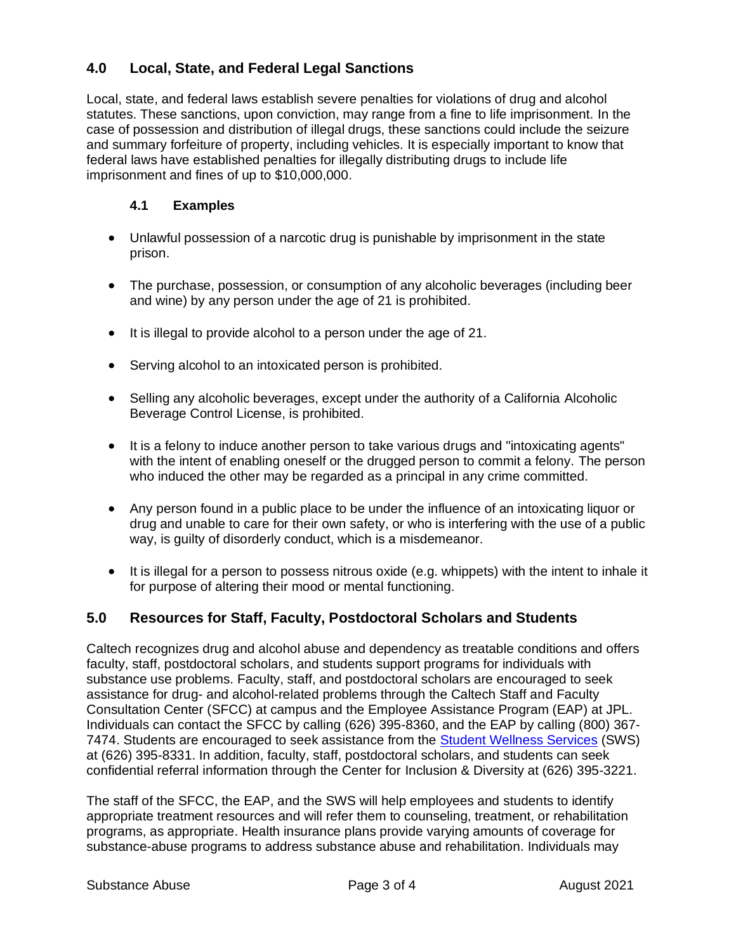## **4.0 Local, State, and Federal Legal Sanctions**

Local, state, and federal laws establish severe penalties for violations of drug and alcohol statutes. These sanctions, upon conviction, may range from a fine to life imprisonment. In the case of possession and distribution of illegal drugs, these sanctions could include the seizure and summary forfeiture of property, including vehicles. It is especially important to know that federal laws have established penalties for illegally distributing drugs to include life imprisonment and fines of up to \$10,000,000.

#### **4.1 Examples**

- Unlawful possession of a narcotic drug is punishable by imprisonment in the state prison.
- The purchase, possession, or consumption of any alcoholic beverages (including beer and wine) by any person under the age of 21 is prohibited.
- It is illegal to provide alcohol to a person under the age of 21.
- Serving alcohol to an intoxicated person is prohibited.
- Selling any alcoholic beverages, except under the authority of a California Alcoholic Beverage Control License, is prohibited.
- It is a felony to induce another person to take various drugs and "intoxicating agents" with the intent of enabling oneself or the drugged person to commit a felony. The person who induced the other may be regarded as a principal in any crime committed.
- Any person found in a public place to be under the influence of an intoxicating liquor or drug and unable to care for their own safety, or who is interfering with the use of a public way, is guilty of disorderly conduct, which is a misdemeanor.
- It is illegal for a person to possess nitrous oxide (e.g. whippets) with the intent to inhale it for purpose of altering their mood or mental functioning.

## **5.0 Resources for Staff, Faculty, Postdoctoral Scholars and Students**

Caltech recognizes drug and alcohol abuse and dependency as treatable conditions and offers faculty, staff, postdoctoral scholars, and students support programs for individuals with substance use problems. Faculty, staff, and postdoctoral scholars are encouraged to seek assistance for drug- and alcohol-related problems through the Caltech Staff and Faculty Consultation Center (SFCC) at campus and the Employee Assistance Program (EAP) at JPL. Individuals can contact the SFCC by calling (626) 395-8360, and the EAP by calling (800) 367- 7474. Students are encouraged to seek assistance from the [Student Wellness Services](http://wellness.caltech.edu/) (SWS) at (626) 395-8331. In addition, faculty, staff, postdoctoral scholars, and students can seek confidential referral information through the Center for Inclusion & Diversity at (626) 395-3221.

The staff of the SFCC, the EAP, and the SWS will help employees and students to identify appropriate treatment resources and will refer them to counseling, treatment, or rehabilitation programs, as appropriate. Health insurance plans provide varying amounts of coverage for substance-abuse programs to address substance abuse and rehabilitation. Individuals may